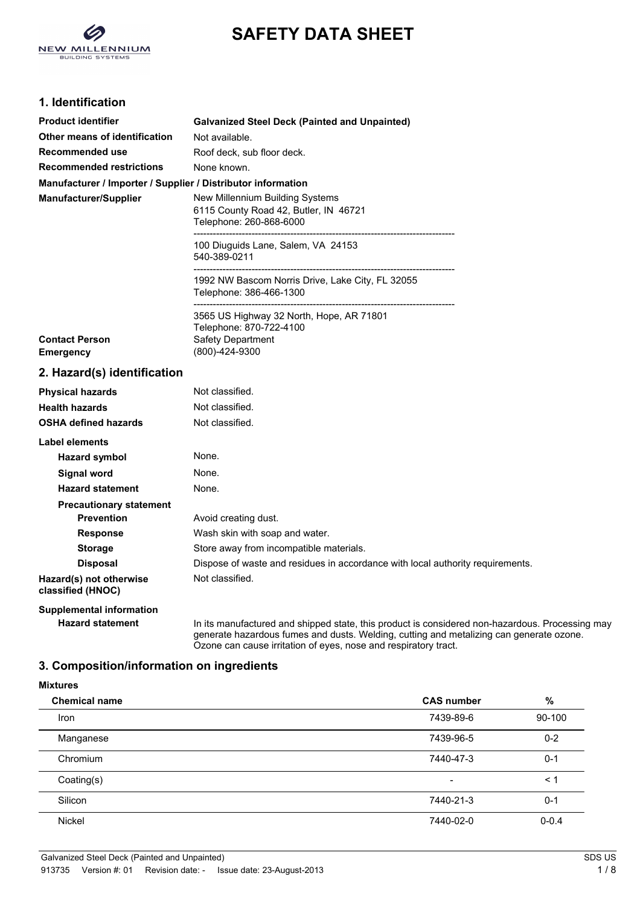

# **SAFETY DATA SHEET**

## **1. Identification**

| <b>Product identifier</b>                                    | <b>Galvanized Steel Deck (Painted and Unpainted)</b>                                                                                         |
|--------------------------------------------------------------|----------------------------------------------------------------------------------------------------------------------------------------------|
| Other means of identification                                | Not available.                                                                                                                               |
| <b>Recommended use</b>                                       | Roof deck, sub floor deck.                                                                                                                   |
| <b>Recommended restrictions</b>                              | None known.                                                                                                                                  |
| Manufacturer / Importer / Supplier / Distributor information |                                                                                                                                              |
| Manufacturer/Supplier                                        | New Millennium Building Systems<br>6115 County Road 42, Butler, IN 46721<br>Telephone: 260-868-6000<br>------------------------------------- |
|                                                              | 100 Diuguids Lane, Salem, VA 24153<br>540-389-0211                                                                                           |
|                                                              | 1992 NW Bascom Norris Drive, Lake City, FL 32055<br>Telephone: 386-466-1300                                                                  |
| <b>Contact Person</b><br><b>Emergency</b>                    | 3565 US Highway 32 North, Hope, AR 71801<br>Telephone: 870-722-4100<br><b>Safety Department</b><br>(800)-424-9300                            |
| 2. Hazard(s) identification                                  |                                                                                                                                              |
| <b>Physical hazards</b>                                      | Not classified.                                                                                                                              |
| <b>Health hazards</b>                                        | Not classified.                                                                                                                              |
| <b>OSHA defined hazards</b>                                  | Not classified.                                                                                                                              |
| <b>Label elements</b>                                        |                                                                                                                                              |
| <b>Hazard symbol</b>                                         | None.                                                                                                                                        |
| <b>Signal word</b>                                           | None.                                                                                                                                        |
| <b>Hazard statement</b>                                      | None.                                                                                                                                        |
| <b>Precautionary statement</b>                               |                                                                                                                                              |
| <b>Prevention</b>                                            | Avoid creating dust.                                                                                                                         |
| <b>Response</b>                                              | Wash skin with soap and water.                                                                                                               |
| <b>Storage</b>                                               | Store away from incompatible materials.                                                                                                      |
| <b>Disposal</b>                                              | Dispose of waste and residues in accordance with local authority requirements.                                                               |
| Hazard(s) not otherwise<br>classified (HNOC)                 | Not classified.                                                                                                                              |
| <b>Supplemental information</b>                              |                                                                                                                                              |

Hazard statement **In its manufactured and shipped state**, this product is considered non-hazardous. Processing may generate hazardous fumes and dusts. Welding, cutting and metalizing can generate ozone. Ozone can cause irritation of eyes, nose and respiratory tract.

## **3. Composition/information on ingredients**

| <b>Mixtures</b>      |                   |           |
|----------------------|-------------------|-----------|
| <b>Chemical name</b> | <b>CAS number</b> | %         |
| Iron                 | 7439-89-6         | 90-100    |
| Manganese            | 7439-96-5         | $0 - 2$   |
| Chromium             | 7440-47-3         | $0 - 1$   |
| Coating(s)           | $\blacksquare$    | $\leq 1$  |
| Silicon              | 7440-21-3         | $0 - 1$   |
| <b>Nickel</b>        | 7440-02-0         | $0 - 0.4$ |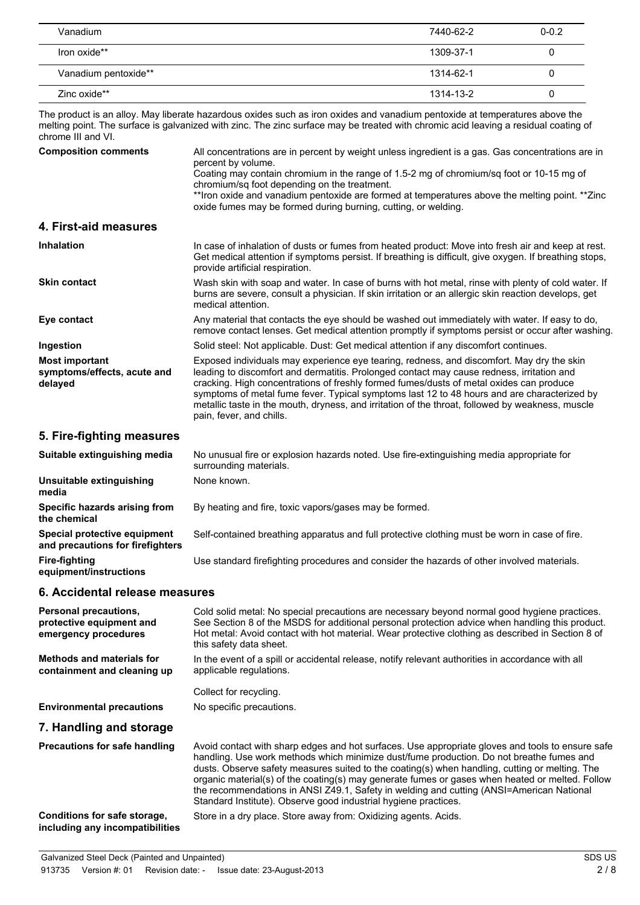| Vanadium             | 7440-62-2 | $0 - 0.2$ |
|----------------------|-----------|-----------|
| Iron oxide**         | 1309-37-1 | U         |
| Vanadium pentoxide** | 1314-62-1 | U         |
| Zinc oxide**         | 1314-13-2 | U         |

The product is an alloy. May liberate hazardous oxides such as iron oxides and vanadium pentoxide at temperatures above the melting point. The surface is galvanized with zinc. The zinc surface may be treated with chromic acid leaving a residual coating of chrome III and VI.

| <b>Composition comments</b>                                     | All concentrations are in percent by weight unless ingredient is a gas. Gas concentrations are in<br>percent by volume.                                                                                                                                                                                                                                                                                                                                                                                          |
|-----------------------------------------------------------------|------------------------------------------------------------------------------------------------------------------------------------------------------------------------------------------------------------------------------------------------------------------------------------------------------------------------------------------------------------------------------------------------------------------------------------------------------------------------------------------------------------------|
|                                                                 | Coating may contain chromium in the range of 1.5-2 mg of chromium/sq foot or 10-15 mg of<br>chromium/sq foot depending on the treatment.                                                                                                                                                                                                                                                                                                                                                                         |
|                                                                 | **Iron oxide and vanadium pentoxide are formed at temperatures above the melting point. **Zinc<br>oxide fumes may be formed during burning, cutting, or welding.                                                                                                                                                                                                                                                                                                                                                 |
| 4. First-aid measures                                           |                                                                                                                                                                                                                                                                                                                                                                                                                                                                                                                  |
| <b>Inhalation</b>                                               | In case of inhalation of dusts or fumes from heated product: Move into fresh air and keep at rest.<br>Get medical attention if symptoms persist. If breathing is difficult, give oxygen. If breathing stops,<br>provide artificial respiration.                                                                                                                                                                                                                                                                  |
| <b>Skin contact</b>                                             | Wash skin with soap and water. In case of burns with hot metal, rinse with plenty of cold water. If<br>burns are severe, consult a physician. If skin irritation or an allergic skin reaction develops, get<br>medical attention.                                                                                                                                                                                                                                                                                |
| Eye contact                                                     | Any material that contacts the eye should be washed out immediately with water. If easy to do,<br>remove contact lenses. Get medical attention promptly if symptoms persist or occur after washing.                                                                                                                                                                                                                                                                                                              |
| Ingestion                                                       | Solid steel: Not applicable. Dust: Get medical attention if any discomfort continues.                                                                                                                                                                                                                                                                                                                                                                                                                            |
| <b>Most important</b><br>symptoms/effects, acute and<br>delayed | Exposed individuals may experience eye tearing, redness, and discomfort. May dry the skin<br>leading to discomfort and dermatitis. Prolonged contact may cause redness, irritation and<br>cracking. High concentrations of freshly formed fumes/dusts of metal oxides can produce<br>symptoms of metal fume fever. Typical symptoms last 12 to 48 hours and are characterized by<br>metallic taste in the mouth, dryness, and irritation of the throat, followed by weakness, muscle<br>pain, fever, and chills. |

## **5. Fire-fighting measures**

| Suitable extinguishing media                                     | No unusual fire or explosion hazards noted. Use fire-extinguishing media appropriate for<br>surrounding materials. |
|------------------------------------------------------------------|--------------------------------------------------------------------------------------------------------------------|
| Unsuitable extinguishing<br>media                                | None known.                                                                                                        |
| Specific hazards arising from<br>the chemical                    | By heating and fire, toxic vapors/gases may be formed.                                                             |
| Special protective equipment<br>and precautions for firefighters | Self-contained breathing apparatus and full protective clothing must be worn in case of fire.                      |
| <b>Fire-fighting</b><br>equipment/instructions                   | Use standard firefighting procedures and consider the hazards of other involved materials.                         |

## **6. Accidental release measures**

| <b>Personal precautions,</b><br>protective equipment and<br>emergency procedures | Cold solid metal: No special precautions are necessary beyond normal good hygiene practices.<br>See Section 8 of the MSDS for additional personal protection advice when handling this product.<br>Hot metal: Avoid contact with hot material. Wear protective clothing as described in Section 8 of<br>this safety data sheet.                                                                                                                                                                                                                                  |
|----------------------------------------------------------------------------------|------------------------------------------------------------------------------------------------------------------------------------------------------------------------------------------------------------------------------------------------------------------------------------------------------------------------------------------------------------------------------------------------------------------------------------------------------------------------------------------------------------------------------------------------------------------|
| <b>Methods and materials for</b><br>containment and cleaning up                  | In the event of a spill or accidental release, notify relevant authorities in accordance with all<br>applicable regulations.                                                                                                                                                                                                                                                                                                                                                                                                                                     |
|                                                                                  | Collect for recycling.                                                                                                                                                                                                                                                                                                                                                                                                                                                                                                                                           |
| <b>Environmental precautions</b>                                                 | No specific precautions.                                                                                                                                                                                                                                                                                                                                                                                                                                                                                                                                         |
| 7. Handling and storage                                                          |                                                                                                                                                                                                                                                                                                                                                                                                                                                                                                                                                                  |
| <b>Precautions for safe handling</b>                                             | Avoid contact with sharp edges and hot surfaces. Use appropriate gloves and tools to ensure safe<br>handling. Use work methods which minimize dust/fume production. Do not breathe fumes and<br>dusts. Observe safety measures suited to the coating(s) when handling, cutting or melting. The<br>organic material(s) of the coating(s) may generate fumes or gases when heated or melted. Follow<br>the recommendations in ANSI Z49.1, Safety in welding and cutting (ANSI=American National<br>Standard Institute). Observe good industrial hygiene practices. |
| Conditions for safe storage,<br>including any incompatibilities                  | Store in a dry place. Store away from: Oxidizing agents. Acids.                                                                                                                                                                                                                                                                                                                                                                                                                                                                                                  |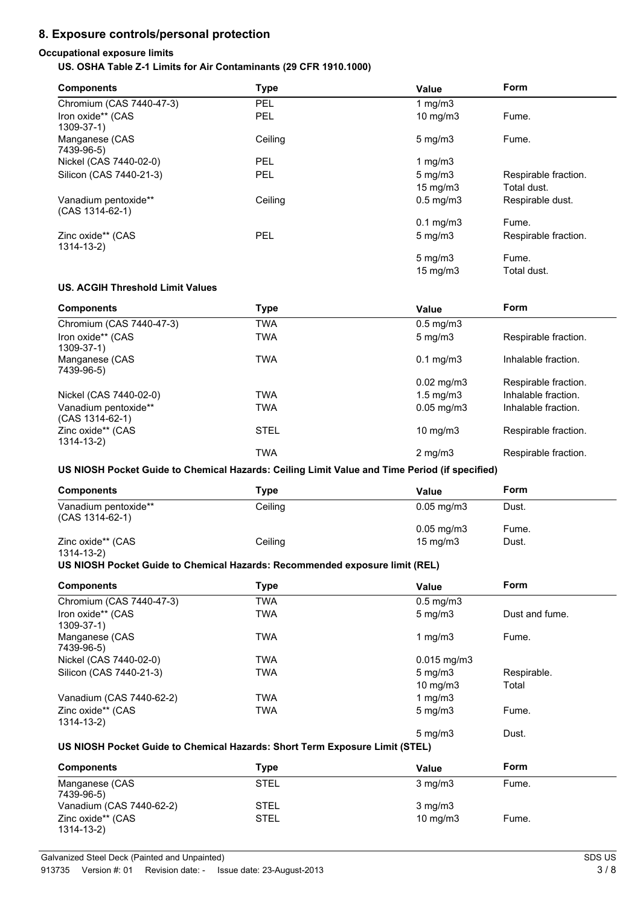## **8. Exposure controls/personal protection**

#### **Occupational exposure limits US. OSHA Table Z-1 Limits for Air Contaminants (29 CFR 1910.1000)**

| <b>Components</b>                         | Type       | <b>Value</b>         | <b>Form</b>          |
|-------------------------------------------|------------|----------------------|----------------------|
| Chromium (CAS 7440-47-3)                  | <b>PEL</b> | 1 mg/m $3$           |                      |
| Iron oxide** (CAS<br>1309-37-1)           | <b>PEL</b> | $10 \text{ mg/m}$    | Fume.                |
| Manganese (CAS<br>7439-96-5)              | Ceiling    | $5 \text{ mg/m}$     | Fume.                |
| Nickel (CAS 7440-02-0)                    | <b>PEL</b> | 1 mg/m $3$           |                      |
| Silicon (CAS 7440-21-3)                   | <b>PEL</b> | $5 \text{ mg/m}$     | Respirable fraction. |
|                                           |            | 15 mg/m $3$          | Total dust.          |
| Vanadium pentoxide**<br>$(CAS 1314-62-1)$ | Ceiling    | $0.5 \text{ mg/m}$ 3 | Respirable dust.     |
|                                           |            | $0.1$ mg/m $3$       | Fume.                |
| Zinc oxide** (CAS<br>$1314 - 13 - 2$      | <b>PEL</b> | $5 \text{ mg/m}$     | Respirable fraction. |
|                                           |            | $5 \,\mathrm{mg/m}$  | Fume.                |
|                                           |            | $15 \text{ mg/m}$    | Total dust.          |

#### **US. ACGIH Threshold Limit Values**

| <b>Components</b>                       | Type        | Value                 | Form                 |
|-----------------------------------------|-------------|-----------------------|----------------------|
| Chromium (CAS 7440-47-3)                | TWA         | $0.5 \text{ mg/m}$ 3  |                      |
| Iron oxide** (CAS<br>$1309 - 37 - 1$    | TWA         | $5 \text{ mg/m}$      | Respirable fraction. |
| Manganese (CAS<br>7439-96-5)            | TWA         | $0.1 \text{ mg/m}$ 3  | Inhalable fraction.  |
|                                         |             | $0.02 \text{ mg/m}$ 3 | Respirable fraction. |
| Nickel (CAS 7440-02-0)                  | TWA         | $1.5 \text{ mg/m}$ 3  | Inhalable fraction.  |
| Vanadium pentoxide**<br>(CAS 1314-62-1) | TWA         | $0.05$ mg/m $3$       | Inhalable fraction.  |
| Zinc oxide** (CAS<br>$1314 - 13 - 2$    | <b>STEL</b> | 10 mg/m $3$           | Respirable fraction. |
|                                         | TWA         | $2 \text{ mg/m}$      | Respirable fraction. |

**US NIOSH Pocket Guide to Chemical Hazards: Ceiling Limit Value and Time Period (if specified)**

| <b>Components</b>                       | Type    | Value                    | Form  |
|-----------------------------------------|---------|--------------------------|-------|
| Vanadium pentoxide**<br>(CAS 1314-62-1) | Ceiling | $0.05 \,\mathrm{mq/m}$ 3 | Dust. |
|                                         |         | $0.05 \,\mathrm{mg/m3}$  | Fume. |
| Zinc oxide** (CAS                       | Ceiling | $15 \text{ mg/m}$        | Dust. |

#### 1314-13-2)

#### **US NIOSH Pocket Guide to Chemical Hazards: Recommended exposure limit (REL)**

| <b>Components</b>                    | Type       | Value                | Form           |
|--------------------------------------|------------|----------------------|----------------|
| Chromium (CAS 7440-47-3)             | <b>TWA</b> | $0.5 \text{ mg/m}$ 3 |                |
| Iron oxide** (CAS<br>1309-37-1)      | <b>TWA</b> | $5 \text{ mg/m}$     | Dust and fume. |
| Manganese (CAS<br>7439-96-5)         | <b>TWA</b> | 1 $mq/m3$            | Fume.          |
| Nickel (CAS 7440-02-0)               | <b>TWA</b> | $0.015$ mg/m3        |                |
| Silicon (CAS 7440-21-3)              | <b>TWA</b> | $5 \text{ mg/m}$     | Respirable.    |
|                                      |            | 10 mg/m $3$          | Total          |
| Vanadium (CAS 7440-62-2)             | <b>TWA</b> | 1 mg/m $3$           |                |
| Zinc oxide** (CAS<br>$1314 - 13 - 2$ | <b>TWA</b> | $5 \text{ mg/m}$     | Fume.          |
|                                      |            | $5 \text{ ma/m}$ 3   | Dust.          |

#### **US NIOSH Pocket Guide to Chemical Hazards: Short Term Exposure Limit (STEL)**

| <b>Components</b>               | Type        | Value             | Form  |  |
|---------------------------------|-------------|-------------------|-------|--|
| Manganese (CAS<br>7439-96-5)    | <b>STEL</b> | $3 \text{ mg/m}$  | Fume. |  |
| Vanadium (CAS 7440-62-2)        | <b>STEL</b> | $3 \text{ mg/m}$  |       |  |
| Zinc oxide** (CAS<br>1314-13-2) | <b>STEL</b> | $10 \text{ mg/m}$ | Fume. |  |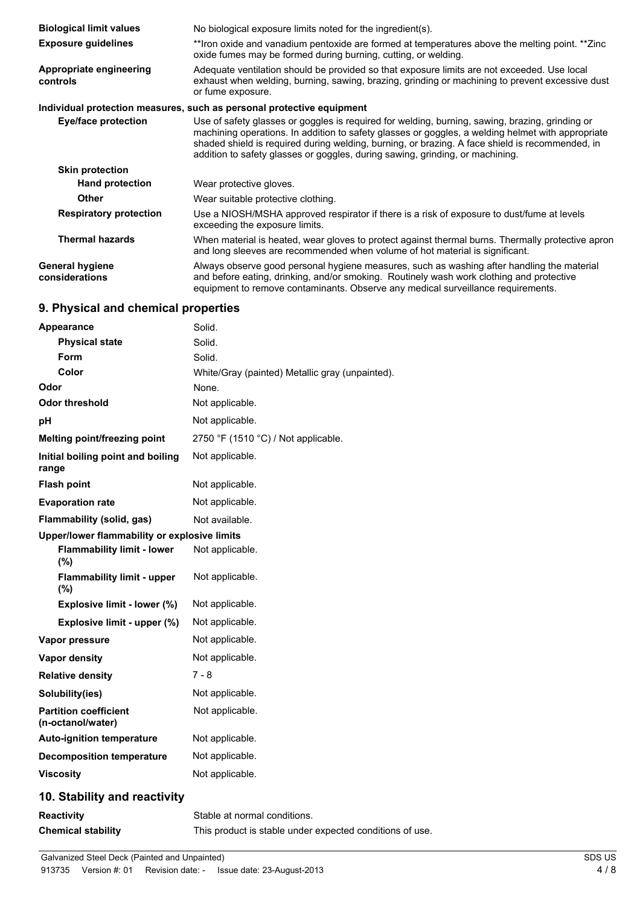| <b>Biological limit values</b>           | No biological exposure limits noted for the ingredient(s).                                                                                                                                                                                                                                                                                                                               |
|------------------------------------------|------------------------------------------------------------------------------------------------------------------------------------------------------------------------------------------------------------------------------------------------------------------------------------------------------------------------------------------------------------------------------------------|
| <b>Exposure guidelines</b>               | **Iron oxide and vanadium pentoxide are formed at temperatures above the melting point. **Zinc<br>oxide fumes may be formed during burning, cutting, or welding.                                                                                                                                                                                                                         |
| Appropriate engineering<br>controls      | Adequate ventilation should be provided so that exposure limits are not exceeded. Use local<br>exhaust when welding, burning, sawing, brazing, grinding or machining to prevent excessive dust<br>or fume exposure.                                                                                                                                                                      |
|                                          | Individual protection measures, such as personal protective equipment                                                                                                                                                                                                                                                                                                                    |
| Eye/face protection                      | Use of safety glasses or goggles is required for welding, burning, sawing, brazing, grinding or<br>machining operations. In addition to safety glasses or goggles, a welding helmet with appropriate<br>shaded shield is required during welding, burning, or brazing. A face shield is recommended, in<br>addition to safety glasses or goggles, during sawing, grinding, or machining. |
| <b>Skin protection</b>                   |                                                                                                                                                                                                                                                                                                                                                                                          |
| <b>Hand protection</b>                   | Wear protective gloves.                                                                                                                                                                                                                                                                                                                                                                  |
| <b>Other</b>                             | Wear suitable protective clothing.                                                                                                                                                                                                                                                                                                                                                       |
| <b>Respiratory protection</b>            | Use a NIOSH/MSHA approved respirator if there is a risk of exposure to dust/fume at levels<br>exceeding the exposure limits.                                                                                                                                                                                                                                                             |
| <b>Thermal hazards</b>                   | When material is heated, wear gloves to protect against thermal burns. Thermally protective apron<br>and long sleeves are recommended when volume of hot material is significant.                                                                                                                                                                                                        |
| <b>General hygiene</b><br>considerations | Always observe good personal hygiene measures, such as washing after handling the material<br>and before eating, drinking, and/or smoking. Routinely wash work clothing and protective<br>equipment to remove contaminants. Observe any medical surveillance requirements.                                                                                                               |
|                                          |                                                                                                                                                                                                                                                                                                                                                                                          |

## **9. Physical and chemical properties**

| Appearance                                        | Solid.                                          |
|---------------------------------------------------|-------------------------------------------------|
| <b>Physical state</b>                             | Solid.                                          |
| Form                                              | Solid.                                          |
| Color                                             | White/Gray (painted) Metallic gray (unpainted). |
| Odor                                              | None.                                           |
| <b>Odor threshold</b>                             | Not applicable.                                 |
| рH                                                | Not applicable.                                 |
| <b>Melting point/freezing point</b>               | 2750 °F (1510 °C) / Not applicable.             |
| Initial boiling point and boiling<br>range        | Not applicable.                                 |
| <b>Flash point</b>                                | Not applicable.                                 |
| <b>Evaporation rate</b>                           | Not applicable.                                 |
| Flammability (solid, gas)                         | Not available.                                  |
| Upper/lower flammability or explosive limits      |                                                 |
| <b>Flammability limit - lower</b><br>(%)          | Not applicable.                                 |
| <b>Flammability limit - upper</b><br>$(\% )$      | Not applicable.                                 |
| Explosive limit - lower (%)                       | Not applicable.                                 |
| Explosive limit - upper (%)                       | Not applicable.                                 |
| Vapor pressure                                    | Not applicable.                                 |
| <b>Vapor density</b>                              | Not applicable.                                 |
| <b>Relative density</b>                           | $7 - 8$                                         |
| Solubility(ies)                                   | Not applicable.                                 |
| <b>Partition coefficient</b><br>(n-octanol/water) | Not applicable.                                 |
| <b>Auto-ignition temperature</b>                  | Not applicable.                                 |
| <b>Decomposition temperature</b>                  | Not applicable.                                 |
| <b>Viscosity</b>                                  | Not applicable.                                 |
| 10. Stability and reactivity                      |                                                 |
| <b>Reactivity</b>                                 | Stable at normal conditions.                    |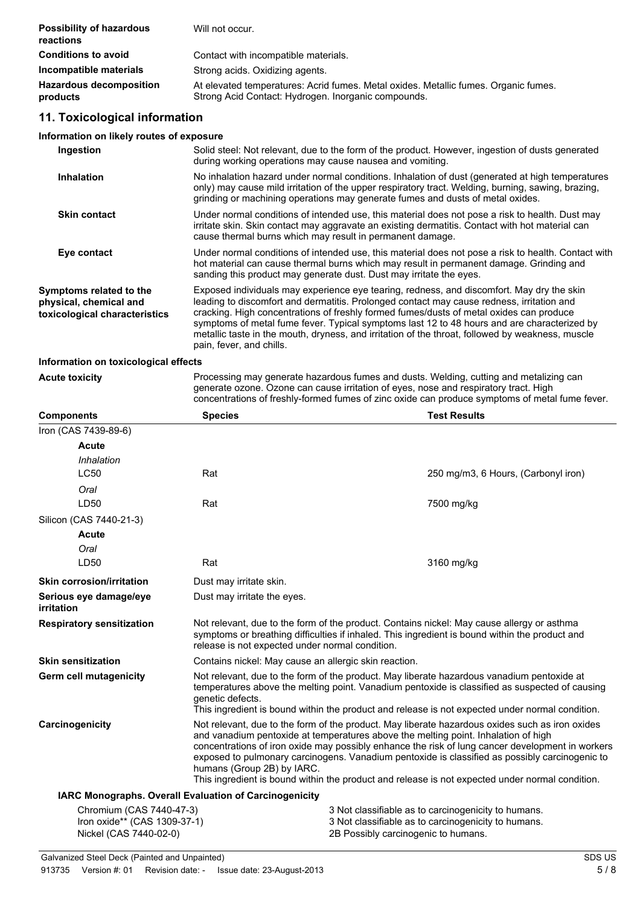| <b>Possibility of hazardous</b><br>reactions | Will not occur.                                                                                                                            |
|----------------------------------------------|--------------------------------------------------------------------------------------------------------------------------------------------|
| <b>Conditions to avoid</b>                   | Contact with incompatible materials.                                                                                                       |
| Incompatible materials                       | Strong acids. Oxidizing agents.                                                                                                            |
| <b>Hazardous decomposition</b><br>products   | At elevated temperatures: Acrid fumes. Metal oxides. Metallic fumes. Organic fumes.<br>Strong Acid Contact: Hydrogen. Inorganic compounds. |

## **11. Toxicological information**

#### **Information on likely routes of exposure**

| Ingestion                                                                          | Solid steel: Not relevant, due to the form of the product. However, ingestion of dusts generated<br>during working operations may cause nausea and vomiting.                                                                                                                                                                                                                                                                                                                                                     |
|------------------------------------------------------------------------------------|------------------------------------------------------------------------------------------------------------------------------------------------------------------------------------------------------------------------------------------------------------------------------------------------------------------------------------------------------------------------------------------------------------------------------------------------------------------------------------------------------------------|
| <b>Inhalation</b>                                                                  | No inhalation hazard under normal conditions. Inhalation of dust (generated at high temperatures<br>only) may cause mild irritation of the upper respiratory tract. Welding, burning, sawing, brazing,<br>grinding or machining operations may generate fumes and dusts of metal oxides.                                                                                                                                                                                                                         |
| <b>Skin contact</b>                                                                | Under normal conditions of intended use, this material does not pose a risk to health. Dust may<br>irritate skin. Skin contact may aggravate an existing dermatitis. Contact with hot material can<br>cause thermal burns which may result in permanent damage.                                                                                                                                                                                                                                                  |
| Eye contact                                                                        | Under normal conditions of intended use, this material does not pose a risk to health. Contact with<br>hot material can cause thermal burns which may result in permanent damage. Grinding and<br>sanding this product may generate dust. Dust may irritate the eyes.                                                                                                                                                                                                                                            |
| Symptoms related to the<br>physical, chemical and<br>toxicological characteristics | Exposed individuals may experience eye tearing, redness, and discomfort. May dry the skin<br>leading to discomfort and dermatitis. Prolonged contact may cause redness, irritation and<br>cracking. High concentrations of freshly formed fumes/dusts of metal oxides can produce<br>symptoms of metal fume fever. Typical symptoms last 12 to 48 hours and are characterized by<br>metallic taste in the mouth, dryness, and irritation of the throat, followed by weakness, muscle<br>pain, fever, and chills. |
| Information on toxicological effects                                               |                                                                                                                                                                                                                                                                                                                                                                                                                                                                                                                  |

#### **Information on toxicological effects**

**Actube 1** Processing may generate hazardous fumes and dusts. Welding, cutting and metalizing can generate ozone. Ozone can cause irritation of eyes, nose and respiratory tract. High concentrations of freshly-formed fumes of zinc oxide can produce symptoms of metal fume fever.

| <b>Components</b>                                      | <b>Species</b>                                                                                                                                                                                                                                                                                                                                                                                                                                                                                                               | <b>Test Results</b>                                 |  |
|--------------------------------------------------------|------------------------------------------------------------------------------------------------------------------------------------------------------------------------------------------------------------------------------------------------------------------------------------------------------------------------------------------------------------------------------------------------------------------------------------------------------------------------------------------------------------------------------|-----------------------------------------------------|--|
| Iron (CAS 7439-89-6)                                   |                                                                                                                                                                                                                                                                                                                                                                                                                                                                                                                              |                                                     |  |
| <b>Acute</b>                                           |                                                                                                                                                                                                                                                                                                                                                                                                                                                                                                                              |                                                     |  |
| Inhalation                                             |                                                                                                                                                                                                                                                                                                                                                                                                                                                                                                                              |                                                     |  |
| <b>LC50</b>                                            | Rat                                                                                                                                                                                                                                                                                                                                                                                                                                                                                                                          | 250 mg/m3, 6 Hours, (Carbonyl iron)                 |  |
| Oral                                                   |                                                                                                                                                                                                                                                                                                                                                                                                                                                                                                                              |                                                     |  |
| LD50                                                   | Rat                                                                                                                                                                                                                                                                                                                                                                                                                                                                                                                          | 7500 mg/kg                                          |  |
| Silicon (CAS 7440-21-3)                                |                                                                                                                                                                                                                                                                                                                                                                                                                                                                                                                              |                                                     |  |
| Acute                                                  |                                                                                                                                                                                                                                                                                                                                                                                                                                                                                                                              |                                                     |  |
| Oral                                                   |                                                                                                                                                                                                                                                                                                                                                                                                                                                                                                                              |                                                     |  |
| LD50                                                   | Rat                                                                                                                                                                                                                                                                                                                                                                                                                                                                                                                          | 3160 mg/kg                                          |  |
| <b>Skin corrosion/irritation</b>                       | Dust may irritate skin.                                                                                                                                                                                                                                                                                                                                                                                                                                                                                                      |                                                     |  |
| Serious eye damage/eye<br>irritation                   | Dust may irritate the eyes.                                                                                                                                                                                                                                                                                                                                                                                                                                                                                                  |                                                     |  |
| <b>Respiratory sensitization</b>                       | Not relevant, due to the form of the product. Contains nickel: May cause allergy or asthma<br>symptoms or breathing difficulties if inhaled. This ingredient is bound within the product and<br>release is not expected under normal condition.                                                                                                                                                                                                                                                                              |                                                     |  |
| <b>Skin sensitization</b>                              | Contains nickel: May cause an allergic skin reaction.                                                                                                                                                                                                                                                                                                                                                                                                                                                                        |                                                     |  |
| Germ cell mutagenicity                                 | Not relevant, due to the form of the product. May liberate hazardous vanadium pentoxide at<br>temperatures above the melting point. Vanadium pentoxide is classified as suspected of causing<br>genetic defects.<br>This ingredient is bound within the product and release is not expected under normal condition.                                                                                                                                                                                                          |                                                     |  |
| Carcinogenicity                                        | Not relevant, due to the form of the product. May liberate hazardous oxides such as iron oxides<br>and vanadium pentoxide at temperatures above the melting point. Inhalation of high<br>concentrations of iron oxide may possibly enhance the risk of lung cancer development in workers<br>exposed to pulmonary carcinogens. Vanadium pentoxide is classified as possibly carcinogenic to<br>humans (Group 2B) by IARC.<br>This ingredient is bound within the product and release is not expected under normal condition. |                                                     |  |
| IARC Monographs. Overall Evaluation of Carcinogenicity |                                                                                                                                                                                                                                                                                                                                                                                                                                                                                                                              |                                                     |  |
| Chromium (CAS 7440-47-3)                               |                                                                                                                                                                                                                                                                                                                                                                                                                                                                                                                              | 3 Not classifiable as to carcinogenicity to humans. |  |
| Iron oxide** (CAS 1309-37-1)                           |                                                                                                                                                                                                                                                                                                                                                                                                                                                                                                                              | 3 Not classifiable as to carcinogenicity to humans. |  |
| Nickel (CAS 7440-02-0)                                 |                                                                                                                                                                                                                                                                                                                                                                                                                                                                                                                              | 2B Possibly carcinogenic to humans.                 |  |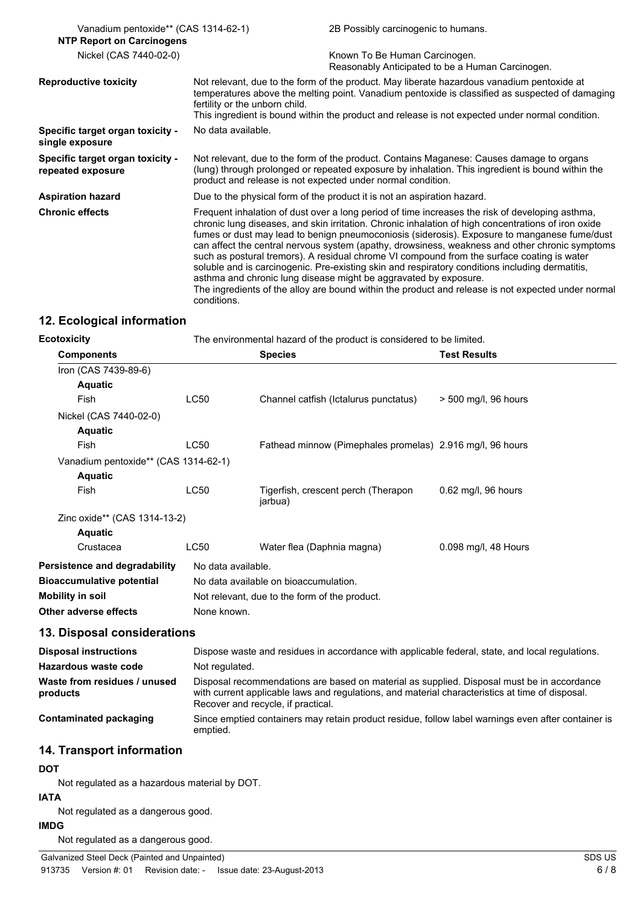| Vanadium pentoxide** (CAS 1314-62-1)<br><b>NTP Report on Carcinogens</b> |                                                                                                                                                                                                                                                                                                                                                                                                                                                                                                                                                                                                                                                                                                                                                                                                    | 2B Possibly carcinogenic to humans.                                               |  |
|--------------------------------------------------------------------------|----------------------------------------------------------------------------------------------------------------------------------------------------------------------------------------------------------------------------------------------------------------------------------------------------------------------------------------------------------------------------------------------------------------------------------------------------------------------------------------------------------------------------------------------------------------------------------------------------------------------------------------------------------------------------------------------------------------------------------------------------------------------------------------------------|-----------------------------------------------------------------------------------|--|
| Nickel (CAS 7440-02-0)                                                   |                                                                                                                                                                                                                                                                                                                                                                                                                                                                                                                                                                                                                                                                                                                                                                                                    | Known To Be Human Carcinogen.<br>Reasonably Anticipated to be a Human Carcinogen. |  |
| <b>Reproductive toxicity</b>                                             | Not relevant, due to the form of the product. May liberate hazardous vanadium pentoxide at<br>temperatures above the melting point. Vanadium pentoxide is classified as suspected of damaging<br>fertility or the unborn child.<br>This ingredient is bound within the product and release is not expected under normal condition.                                                                                                                                                                                                                                                                                                                                                                                                                                                                 |                                                                                   |  |
| Specific target organ toxicity -<br>single exposure                      | No data available.                                                                                                                                                                                                                                                                                                                                                                                                                                                                                                                                                                                                                                                                                                                                                                                 |                                                                                   |  |
| Specific target organ toxicity -<br>repeated exposure                    | Not relevant, due to the form of the product. Contains Maganese: Causes damage to organs<br>(lung) through prolonged or repeated exposure by inhalation. This ingredient is bound within the<br>product and release is not expected under normal condition.                                                                                                                                                                                                                                                                                                                                                                                                                                                                                                                                        |                                                                                   |  |
| <b>Aspiration hazard</b>                                                 | Due to the physical form of the product it is not an aspiration hazard.                                                                                                                                                                                                                                                                                                                                                                                                                                                                                                                                                                                                                                                                                                                            |                                                                                   |  |
| <b>Chronic effects</b>                                                   | Frequent inhalation of dust over a long period of time increases the risk of developing asthma,<br>chronic lung diseases, and skin irritation. Chronic inhalation of high concentrations of iron oxide<br>fumes or dust may lead to benign pneumoconiosis (siderosis). Exposure to manganese fume/dust<br>can affect the central nervous system (apathy, drowsiness, weakness and other chronic symptoms<br>such as postural tremors). A residual chrome VI compound from the surface coating is water<br>soluble and is carcinogenic. Pre-existing skin and respiratory conditions including dermatitis,<br>asthma and chronic lung disease might be aggravated by exposure.<br>The ingredients of the alloy are bound within the product and release is not expected under normal<br>conditions. |                                                                                   |  |

## **12. Ecological information**

| <b>Ecotoxicity</b>                   | The environmental hazard of the product is considered to be limited. |                                                           |                        |
|--------------------------------------|----------------------------------------------------------------------|-----------------------------------------------------------|------------------------|
| <b>Components</b>                    |                                                                      | <b>Species</b>                                            | <b>Test Results</b>    |
| Iron (CAS 7439-89-6)                 |                                                                      |                                                           |                        |
| <b>Aquatic</b>                       |                                                                      |                                                           |                        |
| Fish                                 | <b>LC50</b>                                                          | Channel catfish (Ictalurus punctatus)                     | $>$ 500 mg/l, 96 hours |
| Nickel (CAS 7440-02-0)               |                                                                      |                                                           |                        |
| <b>Aquatic</b>                       |                                                                      |                                                           |                        |
| Fish                                 | <b>LC50</b>                                                          | Fathead minnow (Pimephales promelas) 2.916 mg/l, 96 hours |                        |
| Vanadium pentoxide** (CAS 1314-62-1) |                                                                      |                                                           |                        |
| <b>Aquatic</b>                       |                                                                      |                                                           |                        |
| Fish                                 | <b>LC50</b>                                                          | Tigerfish, crescent perch (Therapon<br>jarbua)            | $0.62$ mg/l, 96 hours  |
| Zinc oxide** (CAS 1314-13-2)         |                                                                      |                                                           |                        |
| <b>Aquatic</b>                       |                                                                      |                                                           |                        |
| Crustacea                            | <b>LC50</b>                                                          | Water flea (Daphnia magna)                                | 0.098 mg/l, 48 Hours   |
| Persistence and degradability        | No data available.                                                   |                                                           |                        |
| <b>Bioaccumulative potential</b>     |                                                                      | No data available on bioaccumulation.                     |                        |
| Mobility in soil                     |                                                                      | Not relevant, due to the form of the product.             |                        |
| Other adverse effects                | None known.                                                          |                                                           |                        |

## **13. Disposal considerations**

| <b>Disposal instructions</b>             | Dispose waste and residues in accordance with applicable federal, state, and local regulations.                                                                                                                                     |
|------------------------------------------|-------------------------------------------------------------------------------------------------------------------------------------------------------------------------------------------------------------------------------------|
| Hazardous waste code                     | Not regulated.                                                                                                                                                                                                                      |
| Waste from residues / unused<br>products | Disposal recommendations are based on material as supplied. Disposal must be in accordance<br>with current applicable laws and regulations, and material characteristics at time of disposal.<br>Recover and recycle, if practical. |
| Contaminated packaging                   | Since emptied containers may retain product residue, follow label warnings even after container is<br>emptied.                                                                                                                      |

## **14. Transport information**

## **DOT**

Not regulated as a hazardous material by DOT.

## **IATA**

Not regulated as a dangerous good.

**IMDG**

Not regulated as a dangerous good.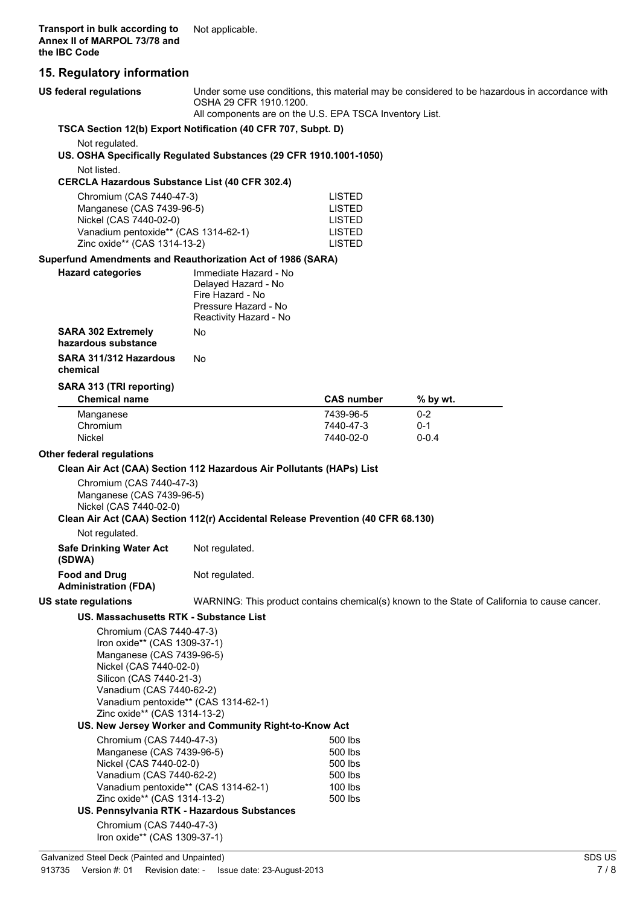## **15. Regulatory information**

| 15. Regulatory Information                                                                                                                                                                                                                     |                                                                                                                                                                                    |                                                                  |                                                                                              |
|------------------------------------------------------------------------------------------------------------------------------------------------------------------------------------------------------------------------------------------------|------------------------------------------------------------------------------------------------------------------------------------------------------------------------------------|------------------------------------------------------------------|----------------------------------------------------------------------------------------------|
| US federal regulations                                                                                                                                                                                                                         | Under some use conditions, this material may be considered to be hazardous in accordance with<br>OSHA 29 CFR 1910.1200.<br>All components are on the U.S. EPA TSCA Inventory List. |                                                                  |                                                                                              |
| TSCA Section 12(b) Export Notification (40 CFR 707, Subpt. D)                                                                                                                                                                                  |                                                                                                                                                                                    |                                                                  |                                                                                              |
| Not regulated.                                                                                                                                                                                                                                 |                                                                                                                                                                                    |                                                                  |                                                                                              |
| US. OSHA Specifically Regulated Substances (29 CFR 1910.1001-1050)<br>Not listed.                                                                                                                                                              |                                                                                                                                                                                    |                                                                  |                                                                                              |
| <b>CERCLA Hazardous Substance List (40 CFR 302.4)</b>                                                                                                                                                                                          |                                                                                                                                                                                    |                                                                  |                                                                                              |
| Chromium (CAS 7440-47-3)                                                                                                                                                                                                                       |                                                                                                                                                                                    | <b>LISTED</b>                                                    |                                                                                              |
| Manganese (CAS 7439-96-5)<br>Nickel (CAS 7440-02-0)<br>Vanadium pentoxide** (CAS 1314-62-1)<br>Zinc oxide** (CAS 1314-13-2)                                                                                                                    |                                                                                                                                                                                    | <b>LISTED</b><br><b>LISTED</b><br><b>LISTED</b><br><b>LISTED</b> |                                                                                              |
| Superfund Amendments and Reauthorization Act of 1986 (SARA)                                                                                                                                                                                    |                                                                                                                                                                                    |                                                                  |                                                                                              |
| <b>Hazard categories</b>                                                                                                                                                                                                                       | Immediate Hazard - No<br>Delayed Hazard - No<br>Fire Hazard - No<br>Pressure Hazard - No<br>Reactivity Hazard - No                                                                 |                                                                  |                                                                                              |
| <b>SARA 302 Extremely</b><br>hazardous substance                                                                                                                                                                                               | No                                                                                                                                                                                 |                                                                  |                                                                                              |
| SARA 311/312 Hazardous<br>chemical                                                                                                                                                                                                             | No                                                                                                                                                                                 |                                                                  |                                                                                              |
| SARA 313 (TRI reporting)                                                                                                                                                                                                                       |                                                                                                                                                                                    |                                                                  |                                                                                              |
| <b>Chemical name</b>                                                                                                                                                                                                                           |                                                                                                                                                                                    | <b>CAS number</b>                                                | % by wt.                                                                                     |
| Manganese                                                                                                                                                                                                                                      |                                                                                                                                                                                    | 7439-96-5                                                        | $0 - 2$                                                                                      |
| Chromium                                                                                                                                                                                                                                       |                                                                                                                                                                                    | 7440-47-3                                                        | $0 - 1$                                                                                      |
| Nickel                                                                                                                                                                                                                                         |                                                                                                                                                                                    | 7440-02-0                                                        | $0 - 0.4$                                                                                    |
| <b>Other federal regulations</b>                                                                                                                                                                                                               |                                                                                                                                                                                    |                                                                  |                                                                                              |
| Clean Air Act (CAA) Section 112 Hazardous Air Pollutants (HAPs) List                                                                                                                                                                           |                                                                                                                                                                                    |                                                                  |                                                                                              |
| Chromium (CAS 7440-47-3)<br>Manganese (CAS 7439-96-5)<br>Nickel (CAS 7440-02-0)<br>Clean Air Act (CAA) Section 112(r) Accidental Release Prevention (40 CFR 68.130)                                                                            |                                                                                                                                                                                    |                                                                  |                                                                                              |
| Not regulated.                                                                                                                                                                                                                                 |                                                                                                                                                                                    |                                                                  |                                                                                              |
| <b>Safe Drinking Water Act</b><br>(SDWA)                                                                                                                                                                                                       | Not regulated.                                                                                                                                                                     |                                                                  |                                                                                              |
| <b>Food and Drug</b><br><b>Administration (FDA)</b>                                                                                                                                                                                            | Not regulated.                                                                                                                                                                     |                                                                  |                                                                                              |
| <b>US state regulations</b>                                                                                                                                                                                                                    |                                                                                                                                                                                    |                                                                  | WARNING: This product contains chemical(s) known to the State of California to cause cancer. |
| US. Massachusetts RTK - Substance List                                                                                                                                                                                                         |                                                                                                                                                                                    |                                                                  |                                                                                              |
| Chromium (CAS 7440-47-3)<br>Iron oxide** (CAS 1309-37-1)<br>Manganese (CAS 7439-96-5)<br>Nickel (CAS 7440-02-0)<br>Silicon (CAS 7440-21-3)<br>Vanadium (CAS 7440-62-2)<br>Vanadium pentoxide** (CAS 1314-62-1)<br>Zinc oxide** (CAS 1314-13-2) |                                                                                                                                                                                    |                                                                  |                                                                                              |
|                                                                                                                                                                                                                                                | US. New Jersey Worker and Community Right-to-Know Act                                                                                                                              |                                                                  |                                                                                              |
| Chromium (CAS 7440-47-3)                                                                                                                                                                                                                       |                                                                                                                                                                                    | 500 lbs                                                          |                                                                                              |
| Manganese (CAS 7439-96-5)<br>Nickel (CAS 7440-02-0)<br>Vanadium (CAS 7440-62-2)<br>Vanadium pentoxide** (CAS 1314-62-1)                                                                                                                        |                                                                                                                                                                                    | 500 lbs<br>500 lbs<br>500 lbs<br>100 lbs                         |                                                                                              |
| Zinc oxide** (CAS 1314-13-2)                                                                                                                                                                                                                   |                                                                                                                                                                                    | 500 lbs                                                          |                                                                                              |
|                                                                                                                                                                                                                                                | US. Pennsylvania RTK - Hazardous Substances                                                                                                                                        |                                                                  |                                                                                              |
| Chromium (CAS 7440-47-3)                                                                                                                                                                                                                       |                                                                                                                                                                                    |                                                                  |                                                                                              |

Iron oxide\*\* (CAS 1309-37-1)